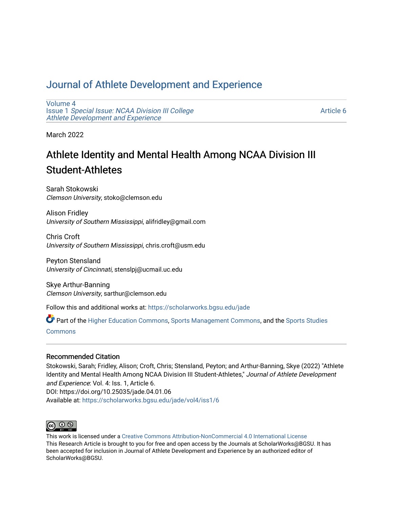# [Journal of Athlete Development and Experience](https://scholarworks.bgsu.edu/jade)

[Volume 4](https://scholarworks.bgsu.edu/jade/vol4) Issue 1 [Special Issue: NCAA Division III College](https://scholarworks.bgsu.edu/jade/vol4/iss1) [Athlete Development and Experience](https://scholarworks.bgsu.edu/jade/vol4/iss1) 

[Article 6](https://scholarworks.bgsu.edu/jade/vol4/iss1/6) 

March 2022

# Athlete Identity and Mental Health Among NCAA Division III Student-Athletes

Sarah Stokowski Clemson University, stoko@clemson.edu

Alison Fridley University of Southern Mississippi, alifridley@gmail.com

Chris Croft University of Southern Mississippi, chris.croft@usm.edu

Peyton Stensland University of Cincinnati, stenslpj@ucmail.uc.edu

Skye Arthur-Banning Clemson University, sarthur@clemson.edu

Follow this and additional works at: [https://scholarworks.bgsu.edu/jade](https://scholarworks.bgsu.edu/jade?utm_source=scholarworks.bgsu.edu%2Fjade%2Fvol4%2Fiss1%2F6&utm_medium=PDF&utm_campaign=PDFCoverPages) 

Part of the [Higher Education Commons,](http://network.bepress.com/hgg/discipline/1245?utm_source=scholarworks.bgsu.edu%2Fjade%2Fvol4%2Fiss1%2F6&utm_medium=PDF&utm_campaign=PDFCoverPages) [Sports Management Commons,](http://network.bepress.com/hgg/discipline/1193?utm_source=scholarworks.bgsu.edu%2Fjade%2Fvol4%2Fiss1%2F6&utm_medium=PDF&utm_campaign=PDFCoverPages) and the [Sports Studies](http://network.bepress.com/hgg/discipline/1198?utm_source=scholarworks.bgsu.edu%2Fjade%2Fvol4%2Fiss1%2F6&utm_medium=PDF&utm_campaign=PDFCoverPages)  [Commons](http://network.bepress.com/hgg/discipline/1198?utm_source=scholarworks.bgsu.edu%2Fjade%2Fvol4%2Fiss1%2F6&utm_medium=PDF&utm_campaign=PDFCoverPages)

# Recommended Citation

Stokowski, Sarah; Fridley, Alison; Croft, Chris; Stensland, Peyton; and Arthur-Banning, Skye (2022) "Athlete Identity and Mental Health Among NCAA Division III Student-Athletes," Journal of Athlete Development and Experience: Vol. 4: Iss. 1, Article 6. DOI: https://doi.org/10.25035/jade.04.01.06 Available at: [https://scholarworks.bgsu.edu/jade/vol4/iss1/6](https://scholarworks.bgsu.edu/jade/vol4/iss1/6?utm_source=scholarworks.bgsu.edu%2Fjade%2Fvol4%2Fiss1%2F6&utm_medium=PDF&utm_campaign=PDFCoverPages) 



This work is licensed under a [Creative Commons Attribution-NonCommercial 4.0 International License](https://creativecommons.org/licenses/by-nc/4.0/) This Research Article is brought to you for free and open access by the Journals at ScholarWorks@BGSU. It has been accepted for inclusion in Journal of Athlete Development and Experience by an authorized editor of ScholarWorks@BGSU.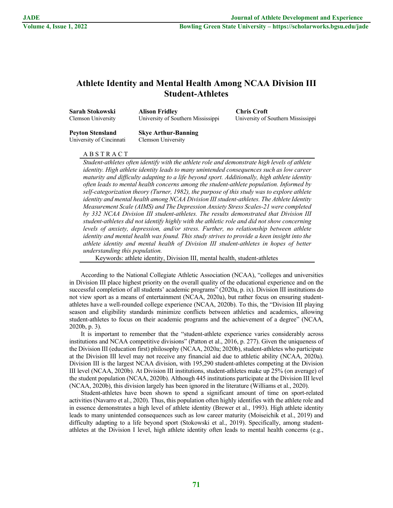# **Athlete Identity and Mental Health Among NCAA Division III Student-Athletes**

| Sarah Stokowski<br>Clemson University | <b>Alison Fridley</b><br>University of Southern Mississippi | <b>Chris Croft</b><br>University of Southern Mississippi |  |
|---------------------------------------|-------------------------------------------------------------|----------------------------------------------------------|--|
| <b>Peyton Stensland</b>               | <b>Skye Arthur-Banning</b>                                  |                                                          |  |
| University of Cincinnati              | Clemson University                                          |                                                          |  |

# A B S T R A C T

*Student-athletes often identify with the athlete role and demonstrate high levels of athlete identity. High athlete identity leads to many unintended consequences such as low career maturity and difficulty adapting to a life beyond sport. Additionally, high athlete identity often leads to mental health concerns among the student-athlete population. Informed by self-categorization theory (Turner, 1982), the purpose of this study was to explore athlete identity and mental health among NCAA Division III student-athletes. The Athlete Identity Measurement Scale (AIMS) and The Depression Anxiety Stress Scales-21 were completed by 332 NCAA Division III student-athletes. The results demonstrated that Division III student-athletes did not identify highly with the athletic role and did not show concerning levels of anxiety, depression, and/or stress. Further, no relationship between athlete identity and mental health was found. This study strives to provide a keen insight into the athlete identity and mental health of Division III student-athletes in hopes of better understanding this population.*

Keywords: athlete identity, Division III, mental health, student-athletes

According to the National Collegiate Athletic Association (NCAA), "colleges and universities in Division III place highest priority on the overall quality of the educational experience and on the successful completion of all students' academic programs" (2020a, p. ix). Division III institutions do not view sport as a means of entertainment (NCAA, 2020a), but rather focus on ensuring studentathletes have a well-rounded college experience (NCAA, 2020b). To this, the "Division III playing season and eligibility standards minimize conflicts between athletics and academics, allowing student-athletes to focus on their academic programs and the achievement of a degree" (NCAA, 2020b, p. 3).

It is important to remember that the "student-athlete experience varies considerably across institutions and NCAA competitive divisions" (Patton et al., 2016, p. 277). Given the uniqueness of the Division III (education first) philosophy (NCAA, 2020a; 2020b), student-athletes who participate at the Division III level may not receive any financial aid due to athletic ability (NCAA, 2020a). Division III is the largest NCAA division, with 195,290 student-athletes competing at the Division III level (NCAA, 2020b). At Division III institutions, student-athletes make up 25% (on average) of the student population (NCAA, 2020b). Although 445 institutions participate at the Division III level (NCAA, 2020b), this division largely has been ignored in the literature (Williams et al., 2020).

Student-athletes have been shown to spend a significant amount of time on sport-related activities (Navarro et al., 2020). Thus, this population often highly identifies with the athlete role and in essence demonstrates a high level of athlete identity (Brewer et al., 1993). High athlete identity leads to many unintended consequences such as low career maturity (Moiseichik et al., 2019) and difficulty adapting to a life beyond sport (Stokowski et al., 2019). Specifically, among studentathletes at the Division I level, high athlete identity often leads to mental health concerns (e.g.,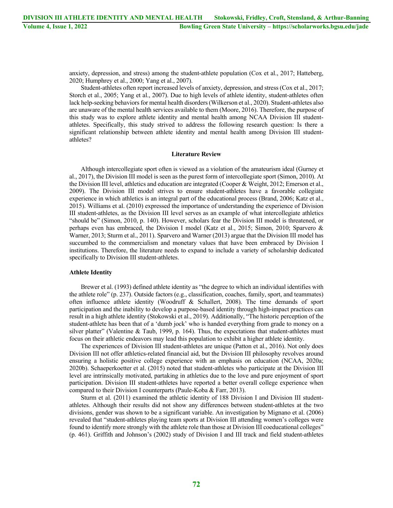anxiety, depression, and stress) among the student-athlete population (Cox et al., 2017; Hatteberg, 2020; Humphrey et al., 2000; Yang et al., 2007).

Student-athletes often report increased levels of anxiety, depression, and stress (Cox et al., 2017; Storch et al., 2005; Yang et al., 2007). Due to high levels of athlete identity, student-athletes often lack help-seeking behaviors for mental health disorders (Wilkerson et al., 2020). Student-athletes also are unaware of the mental health services available to them (Moore, 2016). Therefore, the purpose of this study was to explore athlete identity and mental health among NCAA Division III studentathletes. Specifically, this study strived to address the following research question: Is there a significant relationship between athlete identity and mental health among Division III studentathletes?

## **Literature Review**

Although intercollegiate sport often is viewed as a violation of the amateurism ideal (Gurney et al., 2017), the Division III model is seen as the purest form of intercollegiate sport (Simon, 2010). At the Division III level, athletics and education are integrated (Cooper & Weight, 2012; Emerson et al., 2009). The Division III model strives to ensure student-athletes have a favorable collegiate experience in which athletics is an integral part of the educational process (Brand, 2006; Katz et al., 2015). Williams et al. (2010) expressed the importance of understanding the experience of Division III student-athletes, as the Division III level serves as an example of what intercollegiate athletics "should be" (Simon, 2010, p. 140). However, scholars fear the Division III model is threatened, or perhaps even has embraced, the Division I model (Katz et al., 2015; Simon, 2010; Sparvero & Warner, 2013; Sturm et al., 2011). Sparvero and Warner (2013) argue that the Division III model has succumbed to the commercialism and monetary values that have been embraced by Division I institutions. Therefore, the literature needs to expand to include a variety of scholarship dedicated specifically to Division III student-athletes.

## **Athlete Identity**

Brewer et al. (1993) defined athlete identity as "the degree to which an individual identifies with the athlete role" (p. 237). Outside factors (e.g., classification, coaches, family, sport, and teammates) often influence athlete identity (Woodruff & Schallert, 2008). The time demands of sport participation and the inability to develop a purpose-based identity through high-impact practices can result in a high athlete identity (Stokowski et al., 2019). Additionally, "The historic perception of the student-athlete has been that of a 'dumb jock' who is handed everything from grade to money on a silver platter" (Valentine & Taub, 1999, p. 164). Thus, the expectations that student-athletes must focus on their athletic endeavors may lead this population to exhibit a higher athlete identity.

The experiences of Division III student-athletes are unique (Patton et al., 2016). Not only does Division III not offer athletics-related financial aid, but the Division III philosophy revolves around ensuring a holistic positive college experience with an emphasis on education (NCAA, 2020a; 2020b). Schaeperkoetter et al. (2015) noted that student-athletes who participate at the Division III level are intrinsically motivated, partaking in athletics due to the love and pure enjoyment of sport participation. Division III student-athletes have reported a better overall college experience when compared to their Division I counterparts (Paule-Koba & Farr, 2013).

Sturm et al. (2011) examined the athletic identity of 188 Division I and Division III studentathletes. Although their results did not show any differences between student-athletes at the two divisions, gender was shown to be a significant variable. An investigation by Mignano et al. (2006) revealed that "student-athletes playing team sports at Division III attending women's colleges were found to identify more strongly with the athlete role than those at Division III coeducational colleges" (p. 461). Griffith and Johnson's (2002) study of Division I and III track and field student-athletes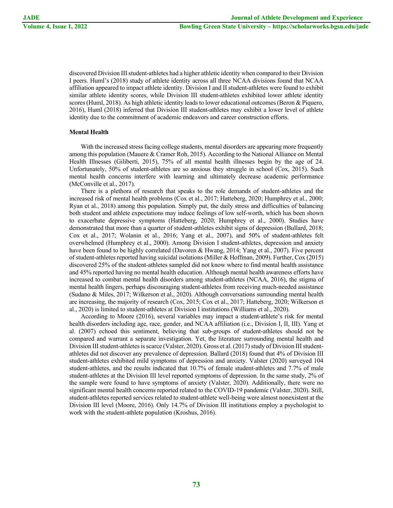discovered Division III student-athletes had a higher athletic identity when compared to their Division I peers. Huml's (2018) study of athlete identity across all three NCAA divisions found that NCAA affiliation appeared to impact athlete identity. Division I and II student-athletes were found to exhibit similar athlete identity scores, while Division III student-athletes exhibited lower athlete identity scores (Huml, 2018). As high athletic identity leads to lower educational outcomes (Beron & Piquero, 2016), Huml (2018) inferred that Division III student-athletes may exhibit a lower level of athlete identity due to the commitment of academic endeavors and career construction efforts.

# **Mental Health**

With the increased stress facing college students, mental disorders are appearing more frequently among this population (Mauere & Cramer Roh, 2015). According to the National Alliance on Mental Health Illnesses (Giliberti, 2015), 75% of all mental health illnesses begin by the age of 24. Unfortunately, 50% of student-athletes are so anxious they struggle in school (Cox, 2015). Such mental health concerns interfere with learning and ultimately decrease academic performance (McConville et al., 2017).

There is a plethora of research that speaks to the role demands of student-athletes and the increased risk of mental health problems (Cox et al., 2017; Hatteberg, 2020; Humphrey et al., 2000; Ryan et al., 2018) among this population. Simply put, the daily stress and difficulties of balancing both student and athlete expectations may induce feelings of low self-worth, which has been shown to exacerbate depressive symptoms (Hatteberg, 2020; Humphrey et al., 2000). Studies have demonstrated that more than a quarter of student-athletes exhibit signs of depression (Bullard, 2018; Cox et al., 2017; Wolanin et al., 2016; Yang et al., 2007), and 50% of student-athletes felt overwhelmed (Humphrey et al., 2000). Among Division I student-athletes, depression and anxiety have been found to be highly correlated (Davoren & Hwang, 2014; Yang et al., 2007). Five percent of student-athletes reported having suicidal isolations (Miller & Hoffman, 2009). Further, Cox (2015) discovered 25% of the student-athletes sampled did not know where to find mental health assistance and 45% reported having no mental health education. Although mental health awareness efforts have increased to combat mental health disorders among student-athletes (NCAA, 2016), the stigma of mental health lingers, perhaps discouraging student-athletes from receiving much-needed assistance (Sudano & Miles, 2017; Wilkerson et al., 2020). Although conversations surrounding mental health are increasing, the majority of research (Cox, 2015; Cox et al., 2017; Hatteberg, 2020; Wilkerson et al., 2020) is limited to student-athletes at Division I institutions (Williams et al., 2020).

According to Moore (2016), several variables may impact a student-athlete's risk for mental health disorders including age, race, gender, and NCAA affiliation (i.e., Division I, II, III). Yang et al. (2007) echoed this sentiment, believing that sub-groups of student-athletes should not be compared and warrant a separate investigation. Yet, the literature surrounding mental health and Division III student-athletes is scarce (Valster, 2020). Gross et al. (2017) study of Division III studentathletes did not discover any prevalence of depression. Ballard (2018) found that 4% of Division III student-athletes exhibited mild symptoms of depression and anxiety. Valster (2020) surveyed 104 student-athletes, and the results indicated that 10.7% of female student-athletes and 7.7% of male student-athletes at the Division III level reported symptoms of depression. In the same study, 2% of the sample were found to have symptoms of anxiety (Valster, 2020). Additionally, there were no significant mental health concerns reported related to the COVID-19 pandemic (Valster, 2020). Still, student-athletes reported services related to student-athlete well-being were almost nonexistent at the Division III level (Moore, 2016). Only 14.7% of Division III institutions employ a psychologist to work with the student-athlete population (Kroshus, 2016).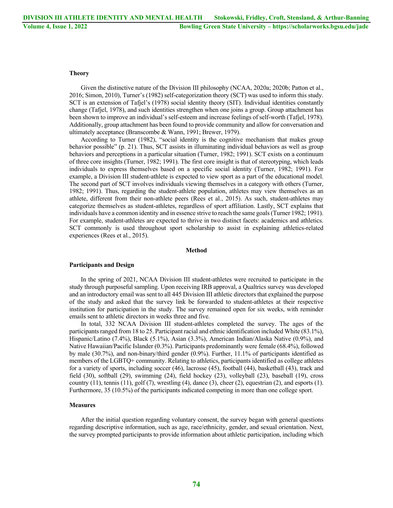# **Theory**

Given the distinctive nature of the Division III philosophy (NCAA, 2020a; 2020b; Patton et al., 2016; Simon, 2010), Turner's (1982) self-categorization theory (SCT) was used to inform this study. SCT is an extension of Tafjel's (1978) social identity theory (SIT). Individual identities constantly change (Tafjel, 1978), and such identities strengthen when one joins a group. Group attachment has been shown to improve an individual's self-esteem and increase feelings of self-worth (Tafjel, 1978). Additionally, group attachment has been found to provide community and allow for conversation and ultimately acceptance (Branscombe & Wann, 1991; Brewer, 1979).

According to Turner (1982), "social identity is the cognitive mechanism that makes group behavior possible" (p. 21). Thus, SCT assists in illuminating individual behaviors as well as group behaviors and perceptions in a particular situation (Turner, 1982; 1991). SCT exists on a continuum of three core insights (Turner, 1982; 1991). The first core insight is that of stereotyping, which leads individuals to express themselves based on a specific social identity (Turner, 1982; 1991). For example, a Division III student-athlete is expected to view sport as a part of the educational model. The second part of SCT involves individuals viewing themselves in a category with others (Turner, 1982; 1991). Thus, regarding the student-athlete population, athletes may view themselves as an athlete, different from their non-athlete peers (Rees et al., 2015). As such, student-athletes may categorize themselves as student-athletes, regardless of sport affiliation. Lastly, SCT explains that individuals have a common identity and in essence strive to reach the same goals (Turner 1982; 1991). For example, student-athletes are expected to thrive in two distinct facets: academics and athletics. SCT commonly is used throughout sport scholarship to assist in explaining athletics-related experiences (Rees et al., 2015).

#### **Method**

#### **Participants and Design**

In the spring of 2021, NCAA Division III student-athletes were recruited to participate in the study through purposeful sampling. Upon receiving IRB approval, a Qualtrics survey was developed and an introductory email was sent to all 445 Division III athletic directors that explained the purpose of the study and asked that the survey link be forwarded to student-athletes at their respective institution for participation in the study. The survey remained open for six weeks, with reminder emails sent to athletic directors in weeks three and five.

In total, 332 NCAA Division III student-athletes completed the survey. The ages of the participants ranged from 18 to 25. Participant racial and ethnic identification included White (83.1%), Hispanic/Latino (7.4%), Black (5.1%), Asian (3.3%), American Indian/Alaska Native (0.9%), and Native Hawaiian/Pacific Islander (0.3%). Participants predominantly were female (68.4%), followed by male (30.7%), and non-binary/third gender (0.9%). Further, 11.1% of participants identified as members of the LGBTQ+ community. Relating to athletics, participants identified as college athletes for a variety of sports, including soccer (46), lacrosse (45), football (44), basketball (43), track and field (30), softball (29), swimming (24), field hockey (23), volleyball (23), baseball (19), cross country  $(11)$ , tennis  $(11)$ , golf  $(7)$ , wrestling  $(4)$ , dance  $(3)$ , cheer  $(2)$ , equestrian  $(2)$ , and esports  $(1)$ . Furthermore, 35 (10.5%) of the participants indicated competing in more than one college sport.

# **Measures**

After the initial question regarding voluntary consent, the survey began with general questions regarding descriptive information, such as age, race/ethnicity, gender, and sexual orientation. Next, the survey prompted participants to provide information about athletic participation, including which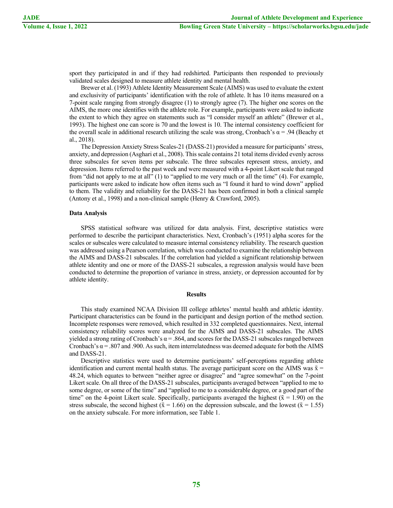sport they participated in and if they had redshirted. Participants then responded to previously validated scales designed to measure athlete identity and mental health.

Brewer et al. (1993) Athlete Identity Measurement Scale (AIMS) was used to evaluate the extent and exclusivity of participants' identification with the role of athlete. It has 10 items measured on a 7-point scale ranging from strongly disagree (1) to strongly agree (7). The higher one scores on the AIMS, the more one identifies with the athlete role. For example, participants were asked to indicate the extent to which they agree on statements such as "I consider myself an athlete" (Brewer et al., 1993). The highest one can score is 70 and the lowest is 10. The internal consistency coefficient for the overall scale in additional research utilizing the scale was strong, Cronbach's  $\alpha$  = .94 (Beachy et al., 2018).

The Depression Anxiety Stress Scales-21 (DASS-21) provided a measure for participants' stress, anxiety, and depression (Asghari et al., 2008). This scale contains 21 total items divided evenly across three subscales for seven items per subscale. The three subscales represent stress, anxiety, and depression. Items referred to the past week and were measured with a 4-point Likert scale that ranged from "did not apply to me at all" (1) to "applied to me very much or all the time" (4). For example, participants were asked to indicate how often items such as "I found it hard to wind down" applied to them. The validity and reliability for the DASS-21 has been confirmed in both a clinical sample (Antony et al., 1998) and a non-clinical sample (Henry & Crawford, 2005).

#### **Data Analysis**

SPSS statistical software was utilized for data analysis. First, descriptive statistics were performed to describe the participant characteristics. Next, Cronbach's (1951) alpha scores for the scales or subscales were calculated to measure internal consistency reliability. The research question was addressed using a Pearson correlation, which was conducted to examine the relationship between the AIMS and DASS-21 subscales. If the correlation had yielded a significant relationship between athlete identity and one or more of the DASS-21 subscales, a regression analysis would have been conducted to determine the proportion of variance in stress, anxiety, or depression accounted for by athlete identity.

#### **Results**

This study examined NCAA Division III college athletes' mental health and athletic identity. Participant characteristics can be found in the participant and design portion of the method section. Incomplete responses were removed, which resulted in 332 completed questionnaires. Next, internal consistency reliability scores were analyzed for the AIMS and DASS-21 subscales. The AIMS yielded a strong rating of Cronbach's  $\alpha$  = .864, and scores for the DASS-21 subscales ranged between Cronbach's  $\alpha$  = .807 and .900. As such, item interrelatedness was deemed adequate for both the AIMS and DASS-21.

Descriptive statistics were used to determine participants' self-perceptions regarding athlete identification and current mental health status. The average participant score on the AIMS was  $\bar{x}$ 48.24, which equates to between "neither agree or disagree" and "agree somewhat" on the 7-point Likert scale. On all three of the DASS-21 subscales, participants averaged between "applied to me to some degree, or some of the time" and "applied to me to a considerable degree, or a good part of the time" on the 4-point Likert scale. Specifically, participants averaged the highest ( $\bar{x} = 1.90$ ) on the stress subscale, the second highest ( $\bar{x} = 1.66$ ) on the depression subscale, and the lowest ( $\bar{x} = 1.55$ ) on the anxiety subscale. For more information, see Table 1.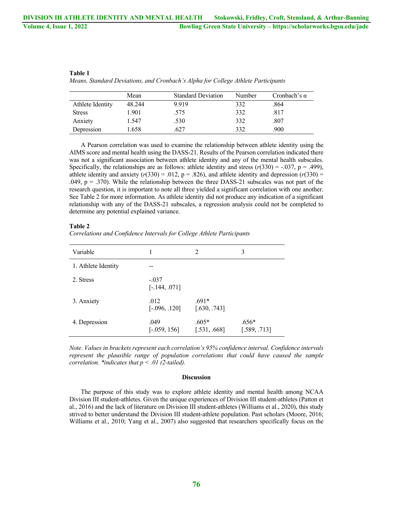|                  | Mean   | <b>Standard Deviation</b> | Number | Cronbach's $\alpha$ |
|------------------|--------|---------------------------|--------|---------------------|
| Athlete Identity | 48.244 | 9.919                     | 332    | .864                |
| <b>Stress</b>    | 1.901  | .575                      | 332    | .817                |
| Anxiety          | 1.547  | .530                      | 332    | .807                |
| Depression       | 1.658  | 627                       | 332    | .900                |

**Table 1** *Means, Standard Deviations, and Cronbach's Alpha for College Athlete Participants*

A Pearson correlation was used to examine the relationship between athlete identity using the AIMS score and mental health using the DASS-21. Results of the Pearson correlation indicated there was not a significant association between athlete identity and any of the mental health subscales. Specifically, the relationships are as follows: athlete identity and stress  $(r(330) = -.037, p = .499)$ , athlete identity and anxiety  $(r(330) = .012, p = .826)$ , and athlete identity and depression  $(r(330) = )$ .049,  $p = .370$ ). While the relationship between the three DASS-21 subscales was not part of the research question, it is important to note all three yielded a significant correlation with one another. See Table 2 for more information. As athlete identity did not produce any indication of a significant relationship with any of the DASS-21 subscales, a regression analysis could not be completed to determine any potential explained variance.

#### **Table 2**

| Correlations and Confidence Intervals for College Athlete Participants |  |  |  |
|------------------------------------------------------------------------|--|--|--|
|                                                                        |  |  |  |

| Variable            |                            | 2                       | 3                       |
|---------------------|----------------------------|-------------------------|-------------------------|
| 1. Athlete Identity |                            |                         |                         |
| 2. Stress           | $-.037$<br>$[-.144, .071]$ |                         |                         |
| 3. Anxiety          | .012<br>$[-.096, .120]$    | $.691*$<br>[.630, .743] |                         |
| 4. Depression       | .049<br>$[-.059, 156]$     | $.605*$<br>[.531, .668] | $.656*$<br>[.589, .713] |

*Note. Values in brackets represent each correlation's 95% confidence interval. Confidence intervals*  represent the plausible range of population correlations that could have caused the sample *correlation. \*indicates that p < .01 (2-tailed).*

# **Discussion**

The purpose of this study was to explore athlete identity and mental health among NCAA Division III student-athletes. Given the unique experiences of Division III student-athletes (Patton et al., 2016) and the lack of literature on Division III student-athletes (Williams et al., 2020), this study strived to better understand the Division III student-athlete population. Past scholars (Moore, 2016; Williams et al., 2010; Yang et al., 2007) also suggested that researchers specifically focus on the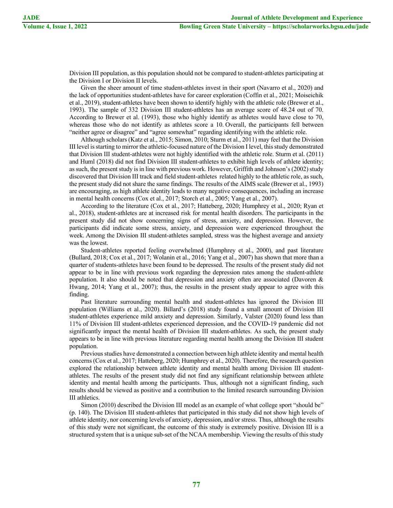Division III population, as this population should not be compared to student-athletes participating at the Division I or Division II levels.

Given the sheer amount of time student-athletes invest in their sport (Navarro et al., 2020) and the lack of opportunities student-athletes have for career exploration (Coffin et al., 2021; Moiseichik et al., 2019), student-athletes have been shown to identify highly with the athletic role (Brewer et al., 1993). The sample of 332 Division III student-athletes has an average score of 48.24 out of 70. According to Brewer et al. (1993), those who highly identify as athletes would have close to 70, whereas those who do not identify as athletes score a 10. Overall, the participants fell between "neither agree or disagree" and "agree somewhat" regarding identifying with the athletic role.

Although scholars (Katz et al., 2015; Simon, 2010; Sturm et al., 2011) may feel that the Division III level is starting to mirror the athletic-focused nature of the Division I level, this study demonstrated that Division III student-athletes were not highly identified with the athletic role. Sturm et al. (2011) and Huml (2018) did not find Division III student-athletes to exhibit high levels of athlete identity; as such, the present study is in line with previous work. However, Griffith and Johnson's (2002) study discovered that Division III track and field student-athletes related highly to the athletic role, as such, the present study did not share the same findings. The results of the AIMS scale (Brewer et al., 1993) are encouraging, as high athlete identity leads to many negative consequences, including an increase in mental health concerns (Cox et al., 2017; Storch et al., 2005; Yang et al., 2007).

According to the literature (Cox et al., 2017; Hatteberg, 2020; Humphrey et al., 2020; Ryan et al., 2018), student-athletes are at increased risk for mental health disorders. The participants in the present study did not show concerning signs of stress, anxiety, and depression. However, the participants did indicate some stress, anxiety, and depression were experienced throughout the week. Among the Division III student-athletes sampled, stress was the highest average and anxiety was the lowest.

Student-athletes reported feeling overwhelmed (Humphrey et al., 2000), and past literature (Bullard, 2018; Cox et al., 2017; Wolanin et al., 2016; Yang et al., 2007) has shown that more than a quarter of students-athletes have been found to be depressed. The results of the present study did not appear to be in line with previous work regarding the depression rates among the student-athlete population. It also should be noted that depression and anxiety often are associated (Davoren & Hwang, 2014; Yang et al., 2007); thus, the results in the present study appear to agree with this finding.

Past literature surrounding mental health and student-athletes has ignored the Division III population (Williams et al., 2020). Billard's (2018) study found a small amount of Division III student-athletes experience mild anxiety and depression. Similarly, Valster (2020) found less than 11% of Division III student-athletes experienced depression, and the COVID-19 pandemic did not significantly impact the mental health of Division III student-athletes. As such, the present study appears to be in line with previous literature regarding mental health among the Division III student population.

Previous studies have demonstrated a connection between high athlete identity and mental health concerns (Cox et al., 2017; Hatteberg, 2020; Humphrey et al., 2020). Therefore, the research question explored the relationship between athlete identity and mental health among Division III studentathletes. The results of the present study did not find any significant relationship between athlete identity and mental health among the participants. Thus, although not a significant finding, such results should be viewed as positive and a contribution to the limited research surrounding Division III athletics.

Simon (2010) described the Division III model as an example of what college sport "should be" (p. 140). The Division III student-athletes that participated in this study did not show high levels of athlete identity, nor concerning levels of anxiety, depression, and/or stress. Thus, although the results of this study were not significant, the outcome of this study is extremely positive. Division III is a structured system that is a unique sub-set of the NCAA membership. Viewing the results of this study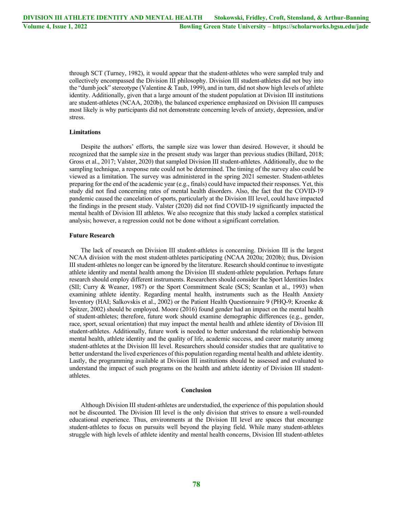through SCT (Turney, 1982), it would appear that the student-athletes who were sampled truly and collectively encompassed the Division III philosophy. Division III student-athletes did not buy into the "dumb jock" stereotype (Valentine & Taub, 1999), and in turn, did not show high levels of athlete identity. Additionally, given that a large amount of the student population at Division III institutions are student-athletes (NCAA, 2020b), the balanced experience emphasized on Division III campuses most likely is why participants did not demonstrate concerning levels of anxiety, depression, and/or stress.

# **Limitations**

Despite the authors' efforts, the sample size was lower than desired. However, it should be recognized that the sample size in the present study was larger than previous studies (Billard, 2018; Gross et al., 2017; Valster, 2020) that sampled Division III student-athletes. Additionally, due to the sampling technique, a response rate could not be determined. The timing of the survey also could be viewed as a limitation. The survey was administered in the spring 2021 semester. Student-athletes preparing for the end of the academic year (e.g., finals) could have impacted their responses. Yet, this study did not find concerning rates of mental health disorders. Also, the fact that the COVID-19 pandemic caused the cancelation of sports, particularly at the Division III level, could have impacted the findings in the present study. Valster (2020) did not find COVID-19 significantly impacted the mental health of Division III athletes. We also recognize that this study lacked a complex statistical analysis; however, a regression could not be done without a significant correlation.

## **Future Research**

The lack of research on Division III student-athletes is concerning. Division III is the largest NCAA division with the most student-athletes participating (NCAA 2020a; 2020b); thus, Division III student-athletes no longer can be ignored by the literature. Research should continue to investigate athlete identity and mental health among the Division III student-athlete population. Perhaps future research should employ different instruments. Researchers should consider the Sport Identities Index (SII; Curry & Weaner, 1987) or the Sport Commitment Scale (SCS; Scanlan et al., 1993) when examining athlete identity. Regarding mental health, instruments such as the Health Anxiety Inventory (HAI; Salkovskis et al., 2002) or the Patient Health Questionnaire 9 (PHQ-9; Kroenke & Spitzer, 2002) should be employed. Moore (2016) found gender had an impact on the mental health of student-athletes; therefore, future work should examine demographic differences (e.g., gender, race, sport, sexual orientation) that may impact the mental health and athlete identity of Division III student-athletes. Additionally, future work is needed to better understand the relationship between mental health, athlete identity and the quality of life, academic success, and career maturity among student-athletes at the Division III level. Researchers should consider studies that are qualitative to better understand the lived experiences of this population regarding mental health and athlete identity. Lastly, the programming available at Division III institutions should be assessed and evaluated to understand the impact of such programs on the health and athlete identity of Division III studentathletes.

## **Conclusion**

Although Division III student-athletes are understudied, the experience of this population should not be discounted. The Division III level is the only division that strives to ensure a well-rounded educational experience. Thus, environments at the Division III level are spaces that encourage student-athletes to focus on pursuits well beyond the playing field. While many student-athletes struggle with high levels of athlete identity and mental health concerns, Division III student-athletes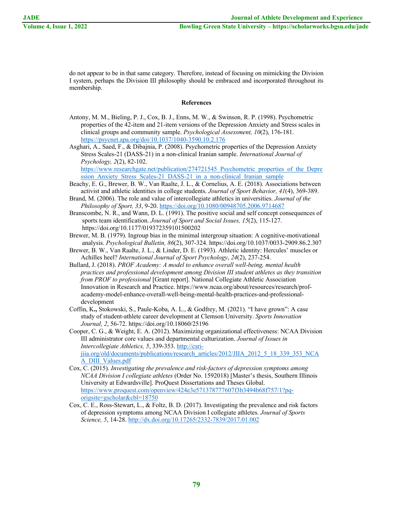do not appear to be in that same category. Therefore, instead of focusing on mimicking the Division I system, perhaps the Division III philosophy should be embraced and incorporated throughout its membership.

# **References**

- Antony, M. M., Bieling, P. J., Cox, B. J., Enns, M. W., & Swinson, R. P. (1998). Psychometric properties of the 42-item and 21-item versions of the Depression Anxiety and Stress scales in clinical groups and community sample. *Psychological Assessment, 10*(2), 176-181. https://psycnet.apa.org/doi/10.1037/1040-3590.10.2.176
- Asghari, A., Saed, F., & Dibajnia, P. (2008). Psychometric properties of the Depression Anxiety Stress Scales-21 (DASS-21) in a non-clinical Iranian sample. *International Journal of Psychology, 2*(2), 82-102.

https://www.researchgate.net/publication/274721545 Psychometric properties of the Depre ssion\_Anxiety\_Stress\_Scales-21\_DASS-21\_in\_a\_non-clinical\_Iranian\_sample

- Beachy, E. G., Brewer, B. W., Van Raalte, J. L., & Cornelius, A. E. (2018). Associations between activist and athletic identities in college students. *Journal of Sport Behavior, 41*(4), 369-389.
- Brand, M. (2006). The role and value of intercollegiate athletics in universities. *Journal of the Philosophy of Sport, 33*, 9-20. https://doi.org/10.1080/00948705.2006.9714687
- Branscombe, N. R., and Wann, D. L. (1991). The positive social and self concept consequences of sports team identification. *Journal of Sport and Social Issues, 15*(2), 115-127. https://doi.org/10.1177/019372359101500202
- Brewer, M. B. (1979). Ingroup bias in the minimal intergroup situation: A cognitive-motivational analysis. *Psychological Bulletin, 86*(2), 307-324. https://doi.org/10.1037/0033-2909.86.2.307
- Brewer, B. W., Van Raalte, J. L., & Linder, D. E. (1993). Athletic identity: Hercules' muscles or Achilles heel? *International Journal of Sport Psychology*, *24*(2), 237-254.
- Bullard, J. (2018). *PROF Academy: A model to enhance overall well-being, mental health practices and professional development among Division III student athletes as they transition from PROF to professional* [Grant report]. National Collegiate Athletic Association Innovation in Research and Practice. https://www.ncaa.org/about/resources/research/profacademy-model-enhance-overall-well-being-mental-health-practices-and-professionaldevelopment
- Coffin, K**.,** Stokowski, S., Paule-Koba, A. L., & Godfrey, M. (2021). "I have grown": A case study of student-athlete career development at Clemson University. *Sports Innovation Journal, 2*, 56-72. https://doi.org/10.18060/25196

Cooper, C. G., & Weight, E. A. (2012). Maximizing organizational effectiveness: NCAA Division III administrator core values and departmental culturization. *Journal of Issues in Intercollegiate Athletics, 5*, 339-353. http://csrijiia.org/old/documents/publications/research\_articles/2012/JIIA\_2012\_5\_18\_339\_353\_NCA A\_DIII\_Values.pdf

- Cox, C. (2015). *Investigating the prevalence and risk-factors of depression symptoms among NCAA Division I collegiate athletes* (Order No. 1592018) [Master's thesis, Southern Illinois University at Edwardsville]. ProQuest Dissertations and Theses Global. https://www.proquest.com/openview/424e3e571378777607f3b3494b68f757/1?pqorigsite=gscholar&cbl=18750
- Cox, C. E., Ross-Stewart, L., & Foltz, B. D. (2017). Investigating the prevalence and risk factors of depression symptoms among NCAA Division I collegiate athletes. *Journal of Sports Science, 5*, 14-28. http://dx.doi.org/10.17265/2332-7839/2017.01.002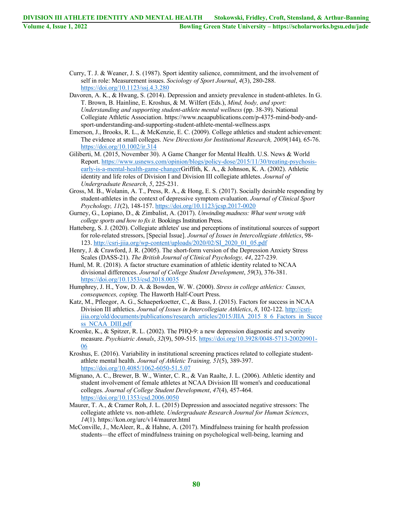Curry, T. J. & Weaner, J. S. (1987). Sport identity salience, commitment, and the involvement of self in role: Measurement issues. *Sociology of Sport Journal*, *4*(3), 280-288. https://doi.org/10.1123/ssj.4.3.280

- Davoren, A. K., & Hwang, S. (2014). Depression and anxiety prevalence in student-athletes. In G. T. Brown, B. Hainline, E. Kroshus, & M. Wilfert (Eds.), *Mind, body, and sport: Understanding and supporting student-athlete mental wellness* (pp. 38-39). National Collegiate Athletic Association. https://www.ncaapublications.com/p-4375-mind-body-andsport-understanding-and-supporting-student-athlete-mental-wellness.aspx
- Emerson, J., Brooks, R. L., & McKenzie, E. C. (2009). College athletics and student achievement: The evidence at small colleges. *New Directions for Institutional Research, 2009*(144)*,* 65-76. https://doi.org/10.1002/ir.314
- Giliberti, M. (2015, November 30). A Game Changer for Mental Health. U.S. News & World Report. https://www.usnews.com/opinion/blogs/policy-dose/2015/11/30/treating-psychosisearly-is-a-mental-health-game-changerGriffith, K. A., & Johnson, K. A. (2002). Athletic identity and life roles of Division I and Division III collegiate athletes. *Journal of Undergraduate Research*, *5*, 225-231.
- Gross, M. B., Wolanin, A. T., Press, R. A., & Hong, E. S. (2017). Socially desirable responding by student-athletes in the context of depressive symptom evaluation. *Journal of Clinical Sport Psychology, 11*(2), 148-157. https://doi.org/10.1123/jcsp.2017-0020
- Gurney, G., Lopiano, D., & Zimbalist, A. (2017). *Unwinding madness: What went wrong with college sports and how to fix it.* Bookings Institution Press.
- Hatteberg, S. J. (2020). Collegiate athletes' use and perceptions of institutional sources of support for role-related stressors, [Special Issue]. *Journal of Issues in Intercollegiate Athletics*, 98- 123. http://csri-jiia.org/wp-content/uploads/2020/02/SI\_2020\_01\_05.pdf
- Henry, J. & Crawford, J. R. (2005). The short-form version of the Depression Anxiety Stress Scales (DASS-21). *The British Journal of Clinical Psychology, 44*, 227-239.
- Huml, M. R. (2018). A factor structure examination of athletic identity related to NCAA divisional differences. *Journal of College Student Development*, *59*(3), 376-381. https://doi.org/10.1353/csd.2018.0035
- Humphrey, J. H., Yow, D. A. & Bowden, W. W. (2000). *Stress in college athletics: Causes, consequences, coping.* The Haworth Half-Court Press.
- Katz, M., Pfleegor, A. G., Schaeperkoetter, C., & Bass, J. (2015). Factors for success in NCAA Division III athletics. *Journal of Issues in Intercollegiate Athletics*, *8*, 102-122. http://csrijiia.org/old/documents/publications/research\_articles/2015/JIIA\_2015\_8\_6\_Factors\_in\_Succe ss NCAA DIII.pdf
- Kroenke, K., & Spitzer, R. L. (2002). The PHQ-9: a new depression diagnostic and severity measure. *Psychiatric Annals*, *32*(9), 509-515. https://doi.org/10.3928/0048-5713-20020901- 06
- Kroshus, E. (2016). Variability in institutional screening practices related to collegiate studentathlete mental health. *Journal of Athletic Training, 51*(5), 389-397. https://doi.org/10.4085/1062-6050-51.5.07
- Mignano, A. C., Brewer, B. W., Winter, C. R., & Van Raalte, J. L. (2006). Athletic identity and student involvement of female athletes at NCAA Division III women's and coeducational colleges. *Journal of College Student Development*, *47*(4), 457-464. https://doi.org/10.1353/csd.2006.0050
- Maurer, T. A., & Cramer Roh, J. L. (2015) Depression and associated negative stressors: The collegiate athlete vs. non-athlete. *Undergraduate Research Journal for Human Sciences*, *14*(1). https://kon.org/urc/v14/maurer.html
- McConville, J., McAleer, R., & Hahne, A. (2017). Mindfulness training for health profession students—the effect of mindfulness training on psychological well-being, learning and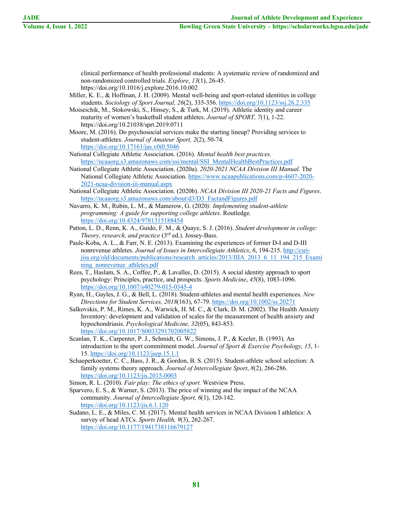clinical performance of health professional students: A systematic review of randomized and non-randomized controlled trials. *Explore*, *13*(1), 26-45. https://doi.org/10.1016/j.explore.2016.10.002

- Miller, K. E., & Hoffman, J. H. (2009). Mental well-being and sport-related identities in college students. *Sociology of Sport Journal, 26*(2), 335-356. https://doi.org/10.1123/ssj.26.2.335
- Moiseichik, M., Stokowski, S., Hinsey, S., & Turk, M. (2019). Athletic identity and career maturity of women's basketball student athletes. *Journal of SPORT, 7*(1), 1-22. https://doi.org/10.21038/sprt.2019.0711
- Moore, M. (2016). Do psychosocial services make the starting lineup? Providing services to student-athletes. *Journal of Amateur Sport, 2*(2), 50-74. https://doi.org/10.17161/jas.v0i0.5046

National Collegiate Athletic Association. (2016). *Mental health best practices.* https://ncaaorg.s3.amazonaws.com/ssi/mental/SSI\_MentalHealthBestPractices.pdf

- National Collegiate Athletic Association. (2020a). *2020-2021 NCAA Division III Manual.* The National Collegiate Athletic Association. https://www.ncaapublications.com/p-4607-2020- 2021-ncaa-division-iii-manual.aspx
- National Collegiate Athletic Association. (2020b). *NCAA Division III 2020-21 Facts and Figures*. https://ncaaorg.s3.amazonaws.com/about/d3/D3\_FactandFigures.pdf
- Navarro, K. M., Rubin, L. M., & Mamerow, G. (2020*). Implementing student-athlete programming: A guide for supporting college athletes.* Routledge. https://doi.org/10.4324/9781315188454
- Patton, L. D., Renn, K. A., Guido, F. M., & Quaye, S. J. (2016). *Student development in college: Theory, research, and practice* (3rd ed.). Jossey-Bass.
- Paule-Koba, A. L., & Farr, N. E. (2013). Examining the experiences of former D-I and D-III nonrevenue athletes. *Journal of Issues in Intercollegiate Athletics*, *6*, 194-215. http://csrijiia.org/old/documents/publications/research\_articles/2013/JIIA\_2013\_6\_11\_194\_215\_Exami ning nonrevenue athletes.pdf
- Rees, T., Haslam, S. A., Coffee, P., & Lavallee, D. (2015). A social identity approach to sport psychology: Principles, practice, and prospects. *Sports Medicine*, *45*(8), 1083-1096. https://doi.org/10.1007/s40279-015-0345-4
- Ryan, H., Gayles, J. G., & Bell, L. (2018). Student‐athletes and mental health experiences. *New Directions for Student Services, 2018*(163), 67-79. https://doi.org/10.1002/ss.20271
- Salkovskis, P. M., Rimes, K. A., Warwick, H. M. C., & Clark, D. M. (2002). The Health Anxiety Inventory: development and validation of scales for the measurement of health anxiety and hypochondriasis. *Psychological Medicine, 32*(05), 843-853. https://doi.org/10.1017/S0033291702005822
- Scanlan, T. K., Carpenter, P. J., Schmidt, G. W., Simons, J. P., & Keeler, B. (1993). An introduction to the sport commitment model. *Journal of Sport & Exercise Psychology, 15*, 1- 15. https://doi.org/10.1123/jsep.15.1.1
- Schaeperkoetter, C. C., Bass, J. R., & Gordon, B. S. (2015). Student-athlete school selection: A family systems theory approach. *Journal of Intercollegiate Sport*, *8*(2), 266-286. https://doi.org/10.1123/jis.2015-0003

Simon, R. L. (2010). *Fair play: The ethics of sport.* Westview Press.

- Sparvero, E. S., & Warner, S. (2013). The price of winning and the impact of the NCAA community. *Journal of Intercollegiate Sport, 6*(1), 120-142. https://doi.org/10.1123/jis.6.1.120
- Sudano, L. E., & Miles, C. M. (2017). Mental health services in NCAA Division I athletics: A survey of head ATCs. *Sports Health, 9*(3), 262-267. https://doi.org/10.1177/1941738116679127